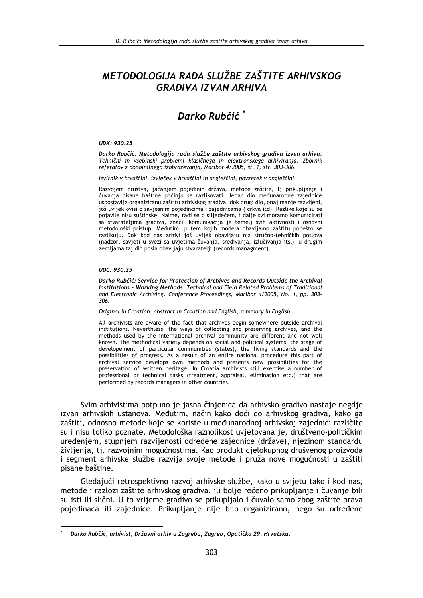# METODOLOGIJA RADA SLUŽBE ZAŠTITE ARHIVSKOG **GRADIVA IZVAN ARHIVA**

## Darko Rubčić<sup>\*</sup>

#### UDK: 930.25

Darko Rubčić: Metodologija rada službe zaštite arhivskog gradiva izvan arhiva. Tehnični in vsebinski problemi klasičnega in elektronskega arhiviranja. Zbornik referatov z dopolnilnega izobraževanja, Maribor 4/2005, št. 1, str. 303-306.

Izvirnik v hrvaščini, izvleček v hrvaščini in angleščini, povzetek v angleščini.

Razvojem društva, jačanjem pojedinih država, metode zaštite, tj prikupljanja i<br>čuvanja pisane baštine počinju se razlikovati. Jedan dio međunarodne zajednice uspostavlja organiziranu zaštitu arhivskog gradiva, dok drugi dio, onaj manje razvijeni, još uvijek ovisi o savjesnim pojedincima i zajednicama ( crkva itd). Razlike koje su se pojavile nisu suštinske. Najme, radi se o slijedećem, i dalje svi moramo komunicirati sa stvarateljima gradiva, znači, komunikacija je temelj svih aktivnosti i osnovni metodološki pristup. Međutim, putem kojih modela obavljamo zaštitu ponešto se razlikuju. Dok kod nas arhivi još uvijek obavljaju niz stručno-tehničkih poslova (nadzor, savjeti u svezi sa uvjetima čuvanja, sređivanja, izlučivanja itsl), u drugim zemljama taj dio posla obavljaju stvaratelji (records managment).

#### $IIDC: 930.25$

Darko Rubčić: Service for Protection of Archives and Records Outside the Archival Institutions - Working Methods. Technical and Field Related Problems of Traditional and Electronic Archiving. Conference Proceedings, Maribor 4/2005, No. 1, pp. 303-306.

Original in Croatian, abstract in Croatian and English, summary in English.

All archivists are aware of the fact that archives begin somewhere outside archival institutions. Neverthless, the ways of collecting and preserving archives, and the methods used by the international archival community are different and not well known. The methodical variety depends on social and political systems, the stage of developement of particular communities (states), the living standards and the possibilities of progress. As a result of an entire national procedure this part of archival service develops own methods and presents new possibilities for the preservation of written heritage. In Croatia archivists still exercise a number of professional or technical tasks (treatment, appraisal, elimination etc.) that are performed by records managers in other countries.

Svim arhivistima potpuno je jasna činjenica da arhivsko gradivo nastaje negdje izvan arhivskih ustanova. Međutim, način kako doći do arhivskog gradiva, kako ga zaštiti, odnosno metode koje se koriste u međunarodnoj arhivskoj zajednici različite su i nisu toliko poznate. Metodološka raznolikost uvietovana je, društveno-političkim uređenjem, stupnjem razvijenosti određene zajednice (države), njezinom standardu življenja, tj. razvojnim mogućnostima. Kao produkt cjelokupnog drušvenog proizvoda i segment arhivske službe razvija svoje metode i pruža nove mogućnosti u zaštiti pisane baštine.

Gledajući retrospektivno razvoj arhivske službe, kako u svijetu tako i kod nas, metode i razlozi zaštite arhivskog gradiva, ili bolje rečeno prikupljanje i čuvanje bili su isti ili slični. U to vrijeme gradivo se prikupljalo i čuvalo samo zbog zaštite prava pojedinaca ili zajednice. Prikupljanje nije bilo organizirano, nego su određene

Darko Rubčić, arhivist, Državni arhiv u Zagrebu, Zagreb, Opatička 29, Hrvatska.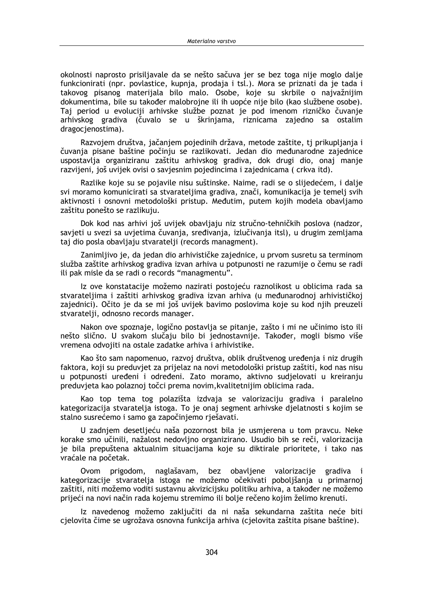okolnosti naprosto prisiliavale da se nešto sačuva jer se bez toga nije moglo dalje funkcionirati (npr. povlastice, kupnia, prodaja i tsl.). Mora se priznati da je tada i takovog pisanog materijala bilo malo. Osobe, koje su skrbile o najvažnijim dokumentima, bile su također malobrojne ili ih uopće nije bilo (kao službene osobe). Taj period u evoluciji arhivske službe poznat je pod imenom rizničko čuvanje arhivskog gradiva (čuvalo se u škrinjama, riznicama zajedno sa ostalim dragocjenostima).

Razvojem društva, jačanjem pojedinih država, metode zaštite, tj prikupljanja i čuvanja pisane baštine počinju se razlikovati. Jedan dio međunarodne zajednice uspostavlja organiziranu zaštitu arhivskog gradiva, dok drugi dio, onaj manje razvijeni, još uvijek ovisi o savjesnim pojedincima i zajednicama (crkva itd).

Razlike koje su se pojavile nisu suštinske. Naime, radi se o slijedećem, i dalje svi moramo komunicirati sa stvarateljima gradiva, znači, komunikacija je temelj svih aktivnosti i osnovni metodološki pristup. Međutim, putem kojih modela obavljamo zaštitu ponešto se razlikuju.

Dok kod nas arhivi još uvijek obavljaju niz stručno-tehničkih poslova (nadzor, savjeti u svezi sa uvjetima čuvanja, sređivanja, izlučivanja itsl), u drugim zemljama taj dio posla obavljaju stvaratelji (records managment).

Zanimljivo je, da jedan dio arhivističke zajednice, u prvom susretu sa terminom služba zaštite arhivskog gradiva izvan arhiva u potpunosti ne razumije o čemu se radi ili pak misle da se radi o records "managmentu".

Iz ove konstatacije možemo nazirati postojeću raznolikost u oblicima rada sa stvarateljima i zaštiti arhivskog gradiva izvan arhiva (u međunarodnoj arhivističkoj zajednici). Očito je da se mi još uvijek bavimo poslovima koje su kod njih preuzeli stvaratelji, odnosno records manager.

Nakon ove spoznaje, logično postavlja se pitanje, zašto i mi ne učinimo isto ili nešto slično. U svakom slučaju bilo bi jednostavnije. Također, mogli bismo više vremena odvojiti na ostale zadatke arhiva i arhivistike.

Kao što sam napomenuo, razvoi društva, oblik društvenog uređenia i niz drugih faktora, koji su preduvjet za prijelaz na novi metodološki pristup zaštiti, kod nas nisu u potpunosti uređeni i određeni. Zato moramo, aktivno sudjelovati u kreiranju preduvjeta kao polaznoj točci prema novim, kvalitetnijim oblicima rada.

Kao top tema tog polazišta izdvaja se valorizaciju gradiva i paralelno kategorizacija stvaratelja istoga. To je onaj segment arhivske djelatnosti s kojim se stalno susrećemo i samo ga započinjemo rješavati.

U zadnjem desetljeću naša pozornost bila je usmjerena u tom pravcu. Neke korake smo učinili, nažalost nedovljno organizirano. Usudio bih se reči, valorizacija je bila prepuštena aktualnim situacijama koje su diktirale prioritete, i tako nas vraćale na početak.

Ovom prigodom, naglašavam, bez obavljene valorizacije gradiva i kategorizacije stvaratelja istoga ne možemo očekivati poboljšanja u primarnoj zaštiti, niti možemo voditi sustavnu akvizicijsku politiku arhiva, a također ne možemo prijeći na novi način rada kojemu stremimo ili bolje rečeno kojim želimo krenuti.

Iz navedenog možemo zaključiti da ni naša sekundarna zaštita neće biti cjelovita čime se ugrožava osnovna funkcija arhiva (cjelovita zaštita pisane baštine).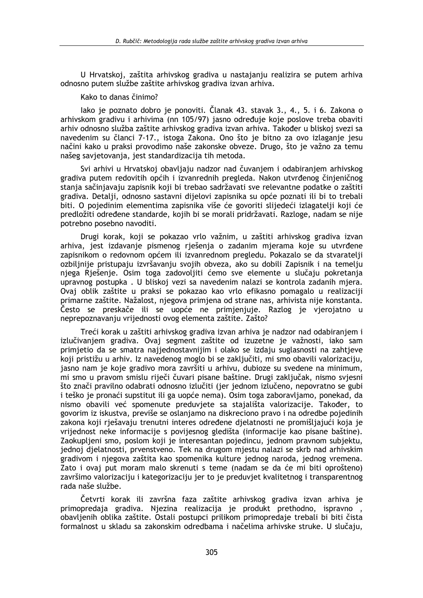U Hrvatskoj, zaštita arhivskog gradiva u nastajanju realizira se putem arhiva odnosno putem službe zaštite arhivskog gradiva izvan arhiva.

Kako to danas činimo?

lako je poznato dobro je ponoviti. Članak 43. stavak 3., 4., 5. i 6. Zakona o arhivskom gradivu i arhivima (nn 105/97) jasno određuje koje poslove treba obaviti arhiv odnosno služba zaštite arhivskog gradiva izvan arhiva. Također u bliskoj svezi sa navedenim su članci 7-17., istoga Zakona. Ono što je bitno za ovo izlaganje jesu načini kako u praksi provodimo naše zakonske obveze. Drugo, što je važno za temu našeg savjetovanja, jest standardizacija tih metoda.

Svi arhivi u Hrvatskoj obavljaju nadzor nad čuvanjem i odabiranjem arhivskog gradiva putem redovitih općih i izvanrednih pregleda. Nakon utvrđenog činjeničnog stanja sačinjavaju zapisnik koji bi trebao sadržavati sve relevantne podatke o zaštiti gradiva. Detalji, odnosno sastavni dijelovi zapisnika su opće poznati ili bi to trebali biti. O pojedinim elementima zapisnika više će govoriti slijedeći izlagatelji koji će predložiti određene standarde, kojih bi se morali pridržavati. Razloge, nadam se nije potrebno posebno navoditi.

Drugi korak, koji se pokazao vrlo važnim, u zaštiti arhivskog gradiva izvan arhiva, jest izdavanje pismenog rješenja o zadanim mjerama koje su utvrđene zapisnikom o redovnom općem ili izvanrednom pregledu. Pokazalo se da stvaratelji ozbiljnije pristupaju izvršavanju svojih obveza, ako su dobili Zapisnik i na temelju njega Riešenje. Osim toga zadovoljiti ćemo sve elemente u slučaju pokretanja upravnog postupka. U bliskoj vezi sa navedenim nalazi se kontrola zadanih mjera. Ovaj oblik zaštite u praksi se pokazao kao vrlo efikasno pomagalo u realizaciji primarne zaštite. Nažalost, njegova primjena od strane nas, arhivista nije konstanta. Često se preskače ili se uopće ne primjenjuje. Razlog je vjerojatno u neprepoznavanju vrijednosti ovog elementa zaštite. Zašto?

Treći korak u zaštiti arhivskog gradiva izvan arhiva je nadzor nad odabiranjem i izlučivaniem gradiva. Ovai segment zaštite od izuzetne je važnosti, jako sam primietio da se smatra naijednostavnijim i olako se izdaju suglasnosti na zahtieve koji pristižu u arhiv. Iz navedenog moglo bi se zakliučiti, mi smo obavili valorizaciju, jasno nam je koje gradivo mora završiti u arhivu, dubioze su svedene na minimum, mi smo u pravom smislu riječi čuvari pisane baštine. Drugi zaključak, nismo svjesni što znači pravilno odabrati odnosno izlučiti (jer jednom izlučeno, nepovratno se gubi i teško je pronaći supstitut ili ga uopće nema). Osim toga zaboravljamo, ponekad, da nismo obavili već spomenute preduvjete sa stajališta valorizacije. Također, to govorim iz iskustva, previše se oslanjamo na diskreciono pravo i na odredbe pojedinih zakona koji rješavaju trenutni interes određene djelatnosti ne promišljajući koja je vrijednost neke informacije s povijesnog gledišta (informacije kao pisane baštine). Zaokupljeni smo, poslom koji je interesantan pojedincu, jednom pravnom subjektu, jednoj djelatnosti, prvenstveno. Tek na drugom mjestu nalazi se skrb nad arhivskim gradivom i njegova zaštita kao spomenika kulture jednog naroda, jednog vremena. Zato i ovaj put moram malo skrenuti s teme (nadam se da će mi biti oprošteno) završimo valorizaciju i kategorizaciju jer to je preduvjet kvalitetnog i transparentnog rada naše službe.

Četvrti korak ili završna faza zaštite arhivskog gradiva izvan arhiva je primopredaja gradiva. Njezina realizacija je produkt prethodno, ispravno, obavljenih oblika zaštite. Ostali postupci prilikom primopredaje trebali bi biti čista formalnost u skladu sa zakonskim odredbama i načelima arhivske struke. U slučaju,